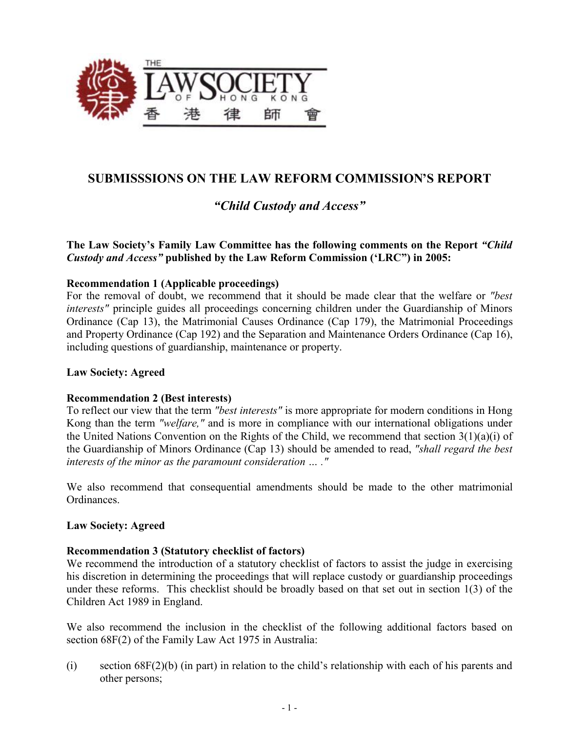

# **SUBMISSSIONS ON THE LAW REFORM COMMISSION'S REPORT**

# *"Child Custody and Access"*

# **The Law Society's Family Law Committee has the following comments on the Report** *"Child Custody and Access"* **published by the Law Reform Commission ('LRC") in 2005:**

# **Recommendation 1 (Applicable proceedings)**

For the removal of doubt, we recommend that it should be made clear that the welfare or *"best interests"* principle guides all proceedings concerning children under the Guardianship of Minors Ordinance (Cap 13), the Matrimonial Causes Ordinance (Cap 179), the Matrimonial Proceedings and Property Ordinance (Cap 192) and the Separation and Maintenance Orders Ordinance (Cap 16), including questions of guardianship, maintenance or property.

# **Law Society: Agreed**

# **Recommendation 2 (Best interests)**

To reflect our view that the term *"best interests"* is more appropriate for modern conditions in Hong Kong than the term *"welfare,"* and is more in compliance with our international obligations under the United Nations Convention on the Rights of the Child, we recommend that section 3(1)(a)(i) of the Guardianship of Minors Ordinance (Cap 13) should be amended to read, *"shall regard the best interests of the minor as the paramount consideration … ."* 

We also recommend that consequential amendments should be made to the other matrimonial Ordinances.

# **Law Society: Agreed**

# **Recommendation 3 (Statutory checklist of factors)**

We recommend the introduction of a statutory checklist of factors to assist the judge in exercising his discretion in determining the proceedings that will replace custody or guardianship proceedings under these reforms. This checklist should be broadly based on that set out in section 1(3) of the Children Act 1989 in England.

We also recommend the inclusion in the checklist of the following additional factors based on section 68F(2) of the Family Law Act 1975 in Australia:

(i) section 68F(2)(b) (in part) in relation to the child's relationship with each of his parents and other persons;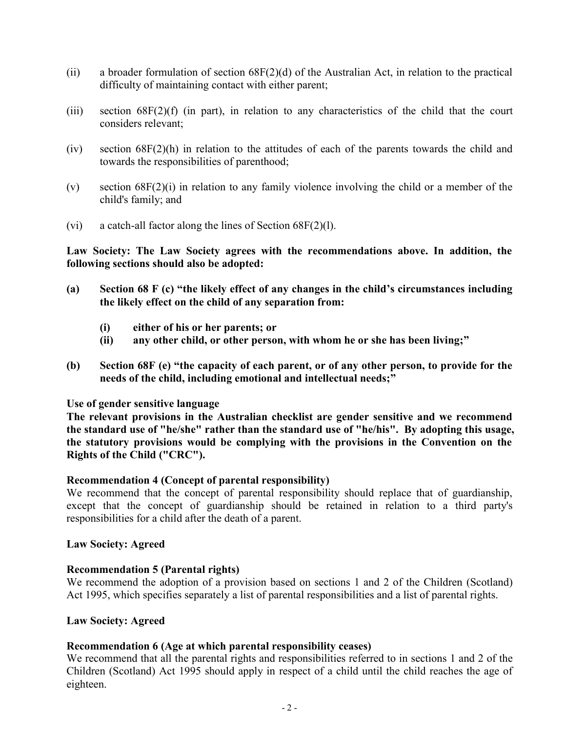- (ii) a broader formulation of section 68F(2)(d) of the Australian Act, in relation to the practical difficulty of maintaining contact with either parent;
- (iii) section 68F(2)(f) (in part), in relation to any characteristics of the child that the court considers relevant;
- (iv) section 68F(2)(h) in relation to the attitudes of each of the parents towards the child and towards the responsibilities of parenthood;
- (v) section 68F(2)(i) in relation to any family violence involving the child or a member of the child's family; and
- (vi) a catch-all factor along the lines of Section 68F(2)(l).

**Law Society: The Law Society agrees with the recommendations above. In addition, the following sections should also be adopted:** 

- (a) Section 68 F (c) "the likely effect of any changes in the child's circumstances including **the likely effect on the child of any separation from:** 
	- **(i) either of his or her parents; or**
	- **(ii) any other child, or other person, with whom he or she has been living;"**
- (b) Section 68F (e) "the capacity of each parent, or of any other person, to provide for the **needs of the child, including emotional and intellectual needs;"**

# **Use of gender sensitive language**

**The relevant provisions in the Australian checklist are gender sensitive and we recommend the standard use of "he/she" rather than the standard use of "he/his". By adopting this usage, the statutory provisions would be complying with the provisions in the Convention on the Rights of the Child ("CRC").** 

# **Recommendation 4 (Concept of parental responsibility)**

We recommend that the concept of parental responsibility should replace that of guardianship, except that the concept of guardianship should be retained in relation to a third party's responsibilities for a child after the death of a parent.

# **Law Society: Agreed**

# **Recommendation 5 (Parental rights)**

We recommend the adoption of a provision based on sections 1 and 2 of the Children (Scotland) Act 1995, which specifies separately a list of parental responsibilities and a list of parental rights.

# **Law Society: Agreed**

# **Recommendation 6 (Age at which parental responsibility ceases)**

We recommend that all the parental rights and responsibilities referred to in sections 1 and 2 of the Children (Scotland) Act 1995 should apply in respect of a child until the child reaches the age of eighteen.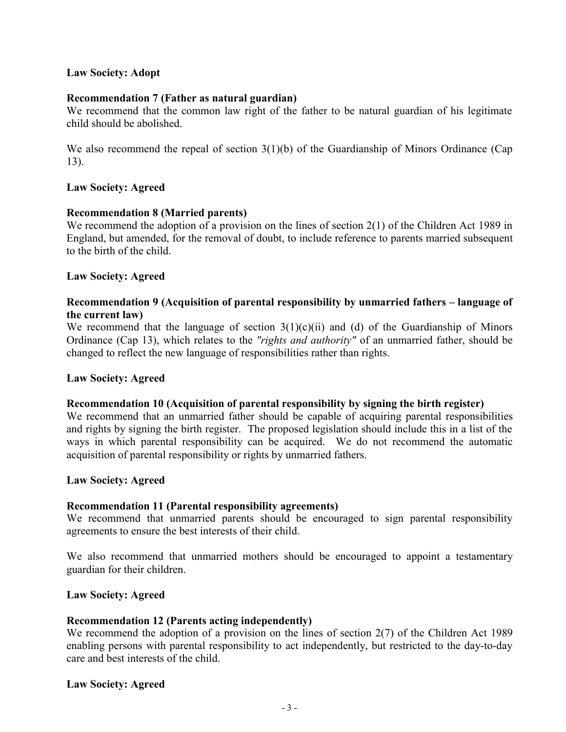# **Law Society: Adopt**

# **Recommendation 7 (Father as natural guardian)**

We recommend that the common law right of the father to be natural guardian of his legitimate child should be abolished.

We also recommend the repeal of section  $3(1)(b)$  of the Guardianship of Minors Ordinance (Cap 13).

# **Law Society: Agreed**

# **Recommendation 8 (Married parents)**

We recommend the adoption of a provision on the lines of section 2(1) of the Children Act 1989 in England, but amended, for the removal of doubt, to include reference to parents married subsequent to the birth of the child.

# **Law Society: Agreed**

# **Recommendation 9 (Acquisition of parental responsibility by unmarried fathers – language of the current law)**

We recommend that the language of section  $3(1)(c)(ii)$  and (d) of the Guardianship of Minors Ordinance (Cap 13), which relates to the *"rights and authority"* of an unmarried father, should be changed to reflect the new language of responsibilities rather than rights.

# **Law Society: Agreed**

# **Recommendation 10 (Acquisition of parental responsibility by signing the birth register)**

We recommend that an unmarried father should be capable of acquiring parental responsibilities and rights by signing the birth register. The proposed legislation should include this in a list of the ways in which parental responsibility can be acquired. We do not recommend the automatic acquisition of parental responsibility or rights by unmarried fathers.

# **Law Society: Agreed**

# **Recommendation 11 (Parental responsibility agreements)**

We recommend that unmarried parents should be encouraged to sign parental responsibility agreements to ensure the best interests of their child.

We also recommend that unmarried mothers should be encouraged to appoint a testamentary guardian for their children.

# **Law Society: Agreed**

# **Recommendation 12 (Parents acting independently)**

We recommend the adoption of a provision on the lines of section 2(7) of the Children Act 1989 enabling persons with parental responsibility to act independently, but restricted to the day-to-day care and best interests of the child.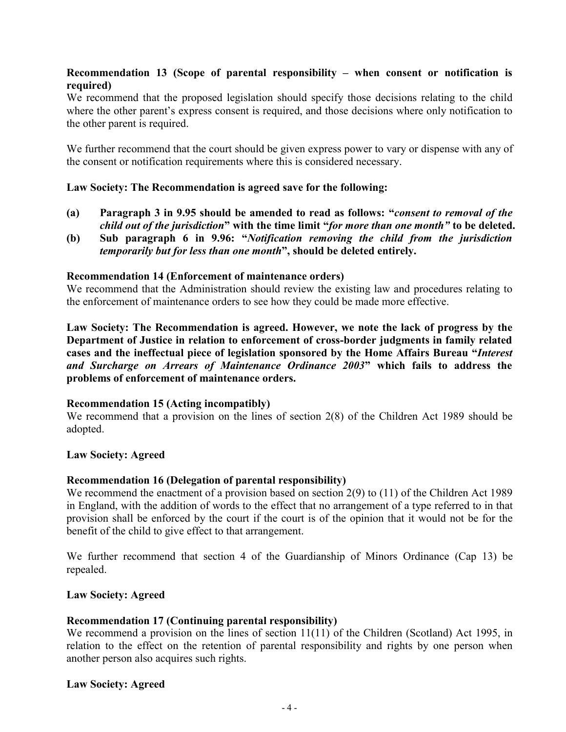# **Recommendation 13 (Scope of parental responsibility – when consent or notification is required)**

We recommend that the proposed legislation should specify those decisions relating to the child where the other parent's express consent is required, and those decisions where only notification to the other parent is required.

We further recommend that the court should be given express power to vary or dispense with any of the consent or notification requirements where this is considered necessary.

# **Law Society: The Recommendation is agreed save for the following:**

- **(a) Paragraph 3 in 9.95 should be amended to read as follows: "***consent to removal of the child out of the jurisdiction***" with the time limit "***for more than one month"* **to be deleted.**
- **(b) Sub paragraph 6 in 9.96: "***Notification removing the child from the jurisdiction temporarily but for less than one month***", should be deleted entirely.**

# **Recommendation 14 (Enforcement of maintenance orders)**

We recommend that the Administration should review the existing law and procedures relating to the enforcement of maintenance orders to see how they could be made more effective.

**Law Society: The Recommendation is agreed. However, we note the lack of progress by the Department of Justice in relation to enforcement of cross-border judgments in family related cases and the ineffectual piece of legislation sponsored by the Home Affairs Bureau "***Interest and Surcharge on Arrears of Maintenance Ordinance 2003***" which fails to address the problems of enforcement of maintenance orders.** 

# **Recommendation 15 (Acting incompatibly)**

We recommend that a provision on the lines of section 2(8) of the Children Act 1989 should be adopted.

#### **Law Society: Agreed**

# **Recommendation 16 (Delegation of parental responsibility)**

We recommend the enactment of a provision based on section 2(9) to (11) of the Children Act 1989 in England, with the addition of words to the effect that no arrangement of a type referred to in that provision shall be enforced by the court if the court is of the opinion that it would not be for the benefit of the child to give effect to that arrangement.

We further recommend that section 4 of the Guardianship of Minors Ordinance (Cap 13) be repealed.

# **Law Society: Agreed**

# **Recommendation 17 (Continuing parental responsibility)**

We recommend a provision on the lines of section 11(11) of the Children (Scotland) Act 1995, in relation to the effect on the retention of parental responsibility and rights by one person when another person also acquires such rights.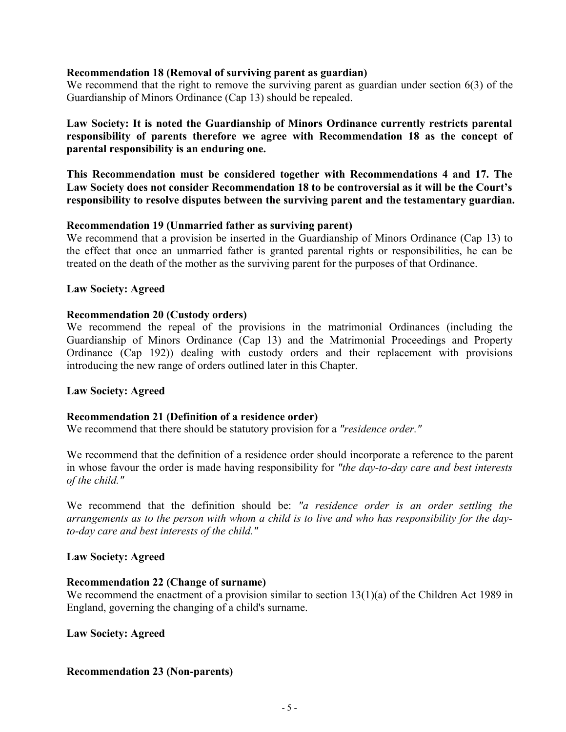### **Recommendation 18 (Removal of surviving parent as guardian)**

We recommend that the right to remove the surviving parent as guardian under section 6(3) of the Guardianship of Minors Ordinance (Cap 13) should be repealed.

**Law Society: It is noted the Guardianship of Minors Ordinance currently restricts parental responsibility of parents therefore we agree with Recommendation 18 as the concept of parental responsibility is an enduring one.** 

**This Recommendation must be considered together with Recommendations 4 and 17. The Law Society does not consider Recommendation 18 to be controversial as it will be the Court's responsibility to resolve disputes between the surviving parent and the testamentary guardian.** 

### **Recommendation 19 (Unmarried father as surviving parent)**

We recommend that a provision be inserted in the Guardianship of Minors Ordinance (Cap 13) to the effect that once an unmarried father is granted parental rights or responsibilities, he can be treated on the death of the mother as the surviving parent for the purposes of that Ordinance.

### **Law Society: Agreed**

### **Recommendation 20 (Custody orders)**

We recommend the repeal of the provisions in the matrimonial Ordinances (including the Guardianship of Minors Ordinance (Cap 13) and the Matrimonial Proceedings and Property Ordinance (Cap 192)) dealing with custody orders and their replacement with provisions introducing the new range of orders outlined later in this Chapter.

# **Law Society: Agreed**

#### **Recommendation 21 (Definition of a residence order)**

We recommend that there should be statutory provision for a *"residence order."*

We recommend that the definition of a residence order should incorporate a reference to the parent in whose favour the order is made having responsibility for *"the day-to-day care and best interests of the child."*

We recommend that the definition should be: *"a residence order is an order settling the*  arrangements as to the person with whom a child is to live and who has responsibility for the day*to-day care and best interests of the child."*

#### **Law Society: Agreed**

#### **Recommendation 22 (Change of surname)**

We recommend the enactment of a provision similar to section 13(1)(a) of the Children Act 1989 in England, governing the changing of a child's surname.

#### **Law Society: Agreed**

# **Recommendation 23 (Non-parents)**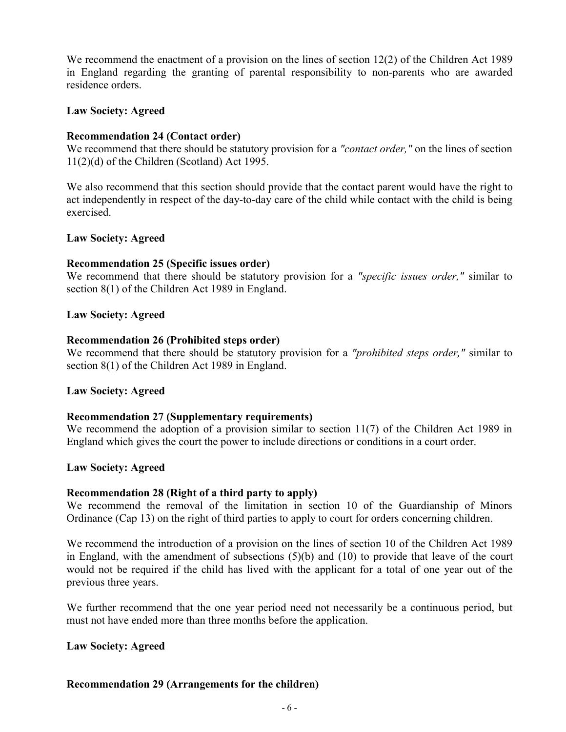We recommend the enactment of a provision on the lines of section 12(2) of the Children Act 1989 in England regarding the granting of parental responsibility to non-parents who are awarded residence orders.

### **Law Society: Agreed**

# **Recommendation 24 (Contact order)**

We recommend that there should be statutory provision for a *"contact order,"* on the lines of section 11(2)(d) of the Children (Scotland) Act 1995.

We also recommend that this section should provide that the contact parent would have the right to act independently in respect of the day-to-day care of the child while contact with the child is being exercised.

### **Law Society: Agreed**

### **Recommendation 25 (Specific issues order)**

We recommend that there should be statutory provision for a *"specific issues order,"* similar to section 8(1) of the Children Act 1989 in England.

### **Law Society: Agreed**

### **Recommendation 26 (Prohibited steps order)**

We recommend that there should be statutory provision for a *"prohibited steps order,"* similar to section 8(1) of the Children Act 1989 in England.

#### **Law Society: Agreed**

# **Recommendation 27 (Supplementary requirements)**

We recommend the adoption of a provision similar to section 11(7) of the Children Act 1989 in England which gives the court the power to include directions or conditions in a court order.

#### **Law Society: Agreed**

#### **Recommendation 28 (Right of a third party to apply)**

We recommend the removal of the limitation in section 10 of the Guardianship of Minors Ordinance (Cap 13) on the right of third parties to apply to court for orders concerning children.

We recommend the introduction of a provision on the lines of section 10 of the Children Act 1989 in England, with the amendment of subsections (5)(b) and (10) to provide that leave of the court would not be required if the child has lived with the applicant for a total of one year out of the previous three years.

We further recommend that the one year period need not necessarily be a continuous period, but must not have ended more than three months before the application.

#### **Law Society: Agreed**

# **Recommendation 29 (Arrangements for the children)**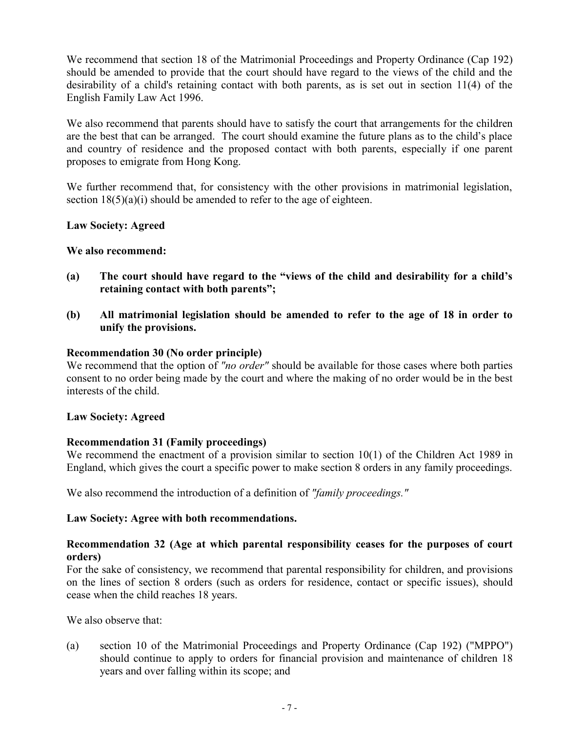We recommend that section 18 of the Matrimonial Proceedings and Property Ordinance (Cap 192) should be amended to provide that the court should have regard to the views of the child and the desirability of a child's retaining contact with both parents, as is set out in section 11(4) of the English Family Law Act 1996.

We also recommend that parents should have to satisfy the court that arrangements for the children are the best that can be arranged. The court should examine the future plans as to the child's place and country of residence and the proposed contact with both parents, especially if one parent proposes to emigrate from Hong Kong.

We further recommend that, for consistency with the other provisions in matrimonial legislation, section  $18(5)(a)(i)$  should be amended to refer to the age of eighteen.

# **Law Society: Agreed**

# **We also recommend:**

- (a) The court should have regard to the "views of the child and desirability for a child's **retaining contact with both parents";**
- **(b) All matrimonial legislation should be amended to refer to the age of 18 in order to unify the provisions.**

# **Recommendation 30 (No order principle)**

We recommend that the option of *"no order"* should be available for those cases where both parties consent to no order being made by the court and where the making of no order would be in the best interests of the child.

# **Law Society: Agreed**

# **Recommendation 31 (Family proceedings)**

We recommend the enactment of a provision similar to section 10(1) of the Children Act 1989 in England, which gives the court a specific power to make section 8 orders in any family proceedings.

We also recommend the introduction of a definition of *"family proceedings."*

# **Law Society: Agree with both recommendations.**

# **Recommendation 32 (Age at which parental responsibility ceases for the purposes of court orders)**

For the sake of consistency, we recommend that parental responsibility for children, and provisions on the lines of section 8 orders (such as orders for residence, contact or specific issues), should cease when the child reaches 18 years.

We also observe that:

(a) section 10 of the Matrimonial Proceedings and Property Ordinance (Cap 192) ("MPPO") should continue to apply to orders for financial provision and maintenance of children 18 years and over falling within its scope; and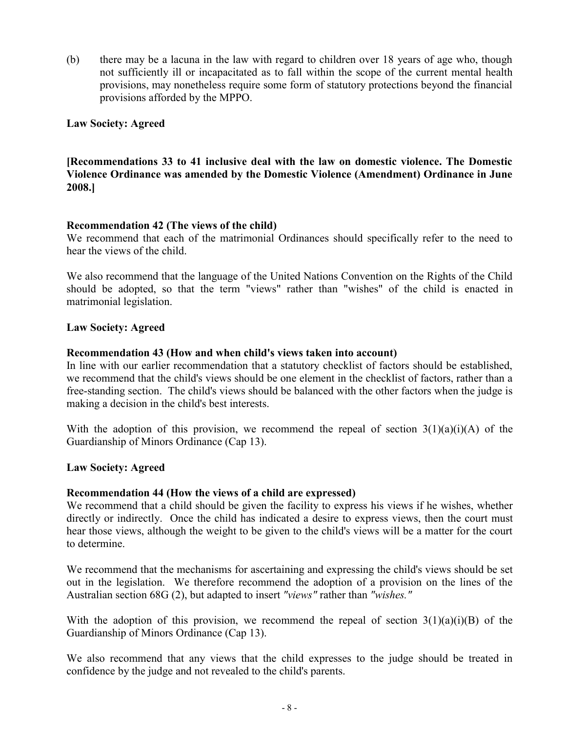(b) there may be a lacuna in the law with regard to children over 18 years of age who, though not sufficiently ill or incapacitated as to fall within the scope of the current mental health provisions, may nonetheless require some form of statutory protections beyond the financial provisions afforded by the MPPO.

# **Law Society: Agreed**

# **[Recommendations 33 to 41 inclusive deal with the law on domestic violence. The Domestic Violence Ordinance was amended by the Domestic Violence (Amendment) Ordinance in June 2008.]**

# **Recommendation 42 (The views of the child)**

We recommend that each of the matrimonial Ordinances should specifically refer to the need to hear the views of the child.

We also recommend that the language of the United Nations Convention on the Rights of the Child should be adopted, so that the term "views" rather than "wishes" of the child is enacted in matrimonial legislation.

### **Law Society: Agreed**

### **Recommendation 43 (How and when child's views taken into account)**

In line with our earlier recommendation that a statutory checklist of factors should be established, we recommend that the child's views should be one element in the checklist of factors, rather than a free-standing section. The child's views should be balanced with the other factors when the judge is making a decision in the child's best interests.

With the adoption of this provision, we recommend the repeal of section  $3(1)(a)(i)(A)$  of the Guardianship of Minors Ordinance (Cap 13).

#### **Law Society: Agreed**

#### **Recommendation 44 (How the views of a child are expressed)**

We recommend that a child should be given the facility to express his views if he wishes, whether directly or indirectly. Once the child has indicated a desire to express views, then the court must hear those views, although the weight to be given to the child's views will be a matter for the court to determine.

We recommend that the mechanisms for ascertaining and expressing the child's views should be set out in the legislation. We therefore recommend the adoption of a provision on the lines of the Australian section 68G (2), but adapted to insert *"views"* rather than *"wishes."*

With the adoption of this provision, we recommend the repeal of section  $3(1)(a)(i)(B)$  of the Guardianship of Minors Ordinance (Cap 13).

We also recommend that any views that the child expresses to the judge should be treated in confidence by the judge and not revealed to the child's parents.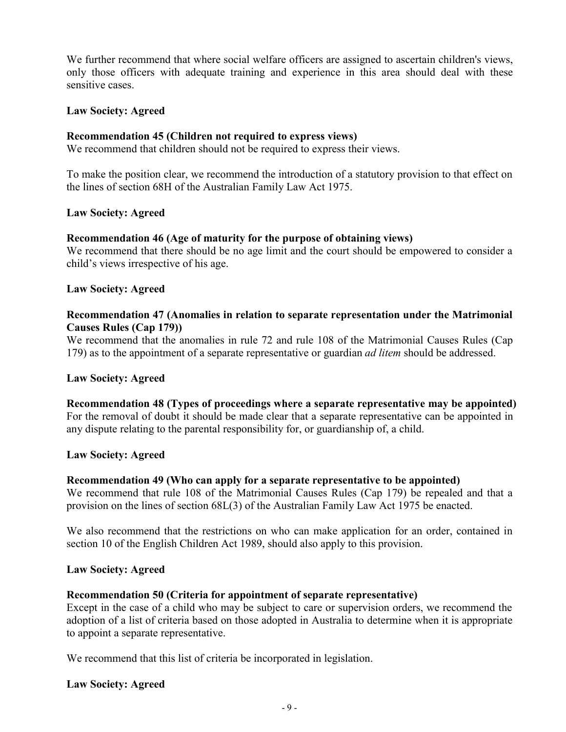We further recommend that where social welfare officers are assigned to ascertain children's views, only those officers with adequate training and experience in this area should deal with these sensitive cases.

# **Law Society: Agreed**

# **Recommendation 45 (Children not required to express views)**

We recommend that children should not be required to express their views.

To make the position clear, we recommend the introduction of a statutory provision to that effect on the lines of section 68H of the Australian Family Law Act 1975.

# **Law Society: Agreed**

# **Recommendation 46 (Age of maturity for the purpose of obtaining views)**

We recommend that there should be no age limit and the court should be empowered to consider a child's views irrespective of his age.

# **Law Society: Agreed**

# **Recommendation 47 (Anomalies in relation to separate representation under the Matrimonial Causes Rules (Cap 179))**

We recommend that the anomalies in rule 72 and rule 108 of the Matrimonial Causes Rules (Cap 179) as to the appointment of a separate representative or guardian *ad litem* should be addressed.

# **Law Society: Agreed**

**Recommendation 48 (Types of proceedings where a separate representative may be appointed)** For the removal of doubt it should be made clear that a separate representative can be appointed in any dispute relating to the parental responsibility for, or guardianship of, a child.

# **Law Society: Agreed**

# **Recommendation 49 (Who can apply for a separate representative to be appointed)**

We recommend that rule 108 of the Matrimonial Causes Rules (Cap 179) be repealed and that a provision on the lines of section 68L(3) of the Australian Family Law Act 1975 be enacted.

We also recommend that the restrictions on who can make application for an order, contained in section 10 of the English Children Act 1989, should also apply to this provision.

# **Law Society: Agreed**

# **Recommendation 50 (Criteria for appointment of separate representative)**

Except in the case of a child who may be subject to care or supervision orders, we recommend the adoption of a list of criteria based on those adopted in Australia to determine when it is appropriate to appoint a separate representative.

We recommend that this list of criteria be incorporated in legislation.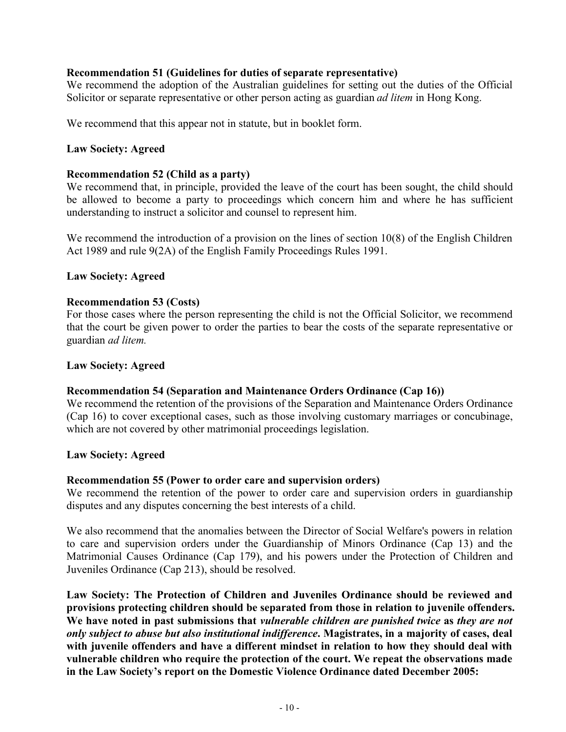# **Recommendation 51 (Guidelines for duties of separate representative)**

We recommend the adoption of the Australian guidelines for setting out the duties of the Official Solicitor or separate representative or other person acting as guardian *ad litem* in Hong Kong.

We recommend that this appear not in statute, but in booklet form.

# **Law Society: Agreed**

# **Recommendation 52 (Child as a party)**

We recommend that, in principle, provided the leave of the court has been sought, the child should be allowed to become a party to proceedings which concern him and where he has sufficient understanding to instruct a solicitor and counsel to represent him.

We recommend the introduction of a provision on the lines of section 10(8) of the English Children Act 1989 and rule 9(2A) of the English Family Proceedings Rules 1991.

# **Law Society: Agreed**

## **Recommendation 53 (Costs)**

For those cases where the person representing the child is not the Official Solicitor, we recommend that the court be given power to order the parties to bear the costs of the separate representative or guardian *ad litem.*

### **Law Society: Agreed**

# **Recommendation 54 (Separation and Maintenance Orders Ordinance (Cap 16))**

We recommend the retention of the provisions of the Separation and Maintenance Orders Ordinance (Cap 16) to cover exceptional cases, such as those involving customary marriages or concubinage, which are not covered by other matrimonial proceedings legislation.

### **Law Society: Agreed**

# **Recommendation 55 (Power to order care and supervision orders)**

We recommend the retention of the power to order care and supervision orders in guardianship disputes and any disputes concerning the best interests of a child.

We also recommend that the anomalies between the Director of Social Welfare's powers in relation to care and supervision orders under the Guardianship of Minors Ordinance (Cap 13) and the Matrimonial Causes Ordinance (Cap 179), and his powers under the Protection of Children and Juveniles Ordinance (Cap 213), should be resolved.

**Law Society: The Protection of Children and Juveniles Ordinance should be reviewed and provisions protecting children should be separated from those in relation to juvenile offenders. We have noted in past submissions that** *vulnerable children are punished twice* **as** *they are not only subject to abuse but also institutional indifference***. Magistrates, in a majority of cases, deal with juvenile offenders and have a different mindset in relation to how they should deal with vulnerable children who require the protection of the court. We repeat the observations made in the Law Society's report on the Domestic Violence Ordinance dated December 2005:**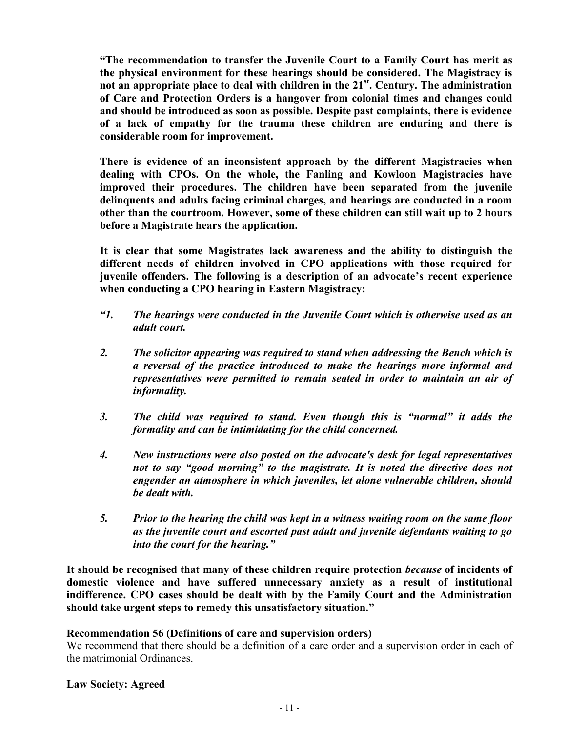**"The recommendation to transfer the Juvenile Court to a Family Court has merit as the physical environment for these hearings should be considered. The Magistracy is not an appropriate place to deal with children in the 21st . Century. The administration of Care and Protection Orders is a hangover from colonial times and changes could and should be introduced as soon as possible. Despite past complaints, there is evidence of a lack of empathy for the trauma these children are enduring and there is considerable room for improvement.** 

**There is evidence of an inconsistent approach by the different Magistracies when dealing with CPOs. On the whole, the Fanling and Kowloon Magistracies have improved their procedures. The children have been separated from the juvenile delinquents and adults facing criminal charges, and hearings are conducted in a room other than the courtroom. However, some of these children can still wait up to 2 hours before a Magistrate hears the application.** 

**It is clear that some Magistrates lack awareness and the ability to distinguish the different needs of children involved in CPO applications with those required for juvenile offenders. The following is a description of an advocate's recent experience when conducting a CPO hearing in Eastern Magistracy:** 

- *"1. The hearings were conducted in the Juvenile Court which is otherwise used as an adult court.*
- *2. The solicitor appearing was required to stand when addressing the Bench which is a reversal of the practice introduced to make the hearings more informal and representatives were permitted to remain seated in order to maintain an air of informality.*
- *3. The child was required to stand. Even though this is "normal" it adds the formality and can be intimidating for the child concerned.*
- *4. New instructions were also posted on the advocate's desk for legal representatives not to say "good morning" to the magistrate. It is noted the directive does not engender an atmosphere in which juveniles, let alone vulnerable children, should be dealt with.*
- *5. Prior to the hearing the child was kept in a witness waiting room on the same floor as the juvenile court and escorted past adult and juvenile defendants waiting to go into the court for the hearing."*

**It should be recognised that many of these children require protection** *because* **of incidents of domestic violence and have suffered unnecessary anxiety as a result of institutional indifference. CPO cases should be dealt with by the Family Court and the Administration should take urgent steps to remedy this unsatisfactory situation."**

# **Recommendation 56 (Definitions of care and supervision orders)**

We recommend that there should be a definition of a care order and a supervision order in each of the matrimonial Ordinances.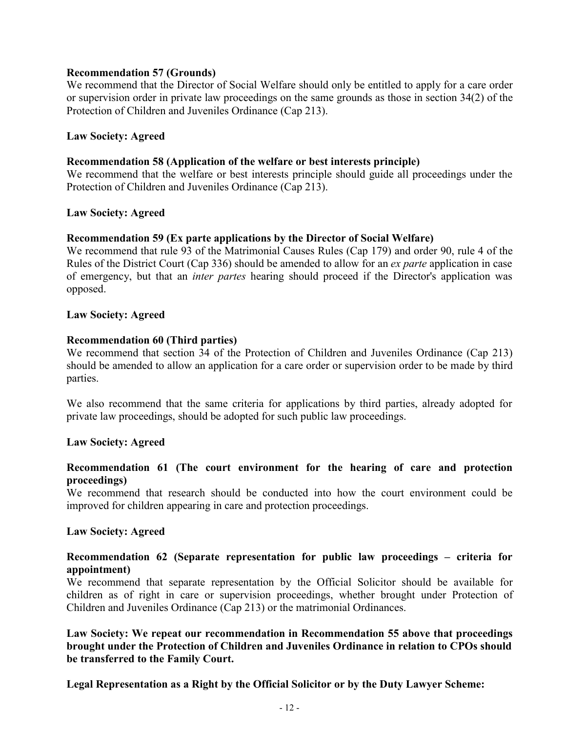### **Recommendation 57 (Grounds)**

We recommend that the Director of Social Welfare should only be entitled to apply for a care order or supervision order in private law proceedings on the same grounds as those in section 34(2) of the Protection of Children and Juveniles Ordinance (Cap 213).

### **Law Society: Agreed**

### **Recommendation 58 (Application of the welfare or best interests principle)**

We recommend that the welfare or best interests principle should guide all proceedings under the Protection of Children and Juveniles Ordinance (Cap 213).

### **Law Society: Agreed**

### **Recommendation 59 (Ex parte applications by the Director of Social Welfare)**

We recommend that rule 93 of the Matrimonial Causes Rules (Cap 179) and order 90, rule 4 of the Rules of the District Court (Cap 336) should be amended to allow for an *ex parte* application in case of emergency, but that an *inter partes* hearing should proceed if the Director's application was opposed.

### **Law Society: Agreed**

### **Recommendation 60 (Third parties)**

We recommend that section 34 of the Protection of Children and Juveniles Ordinance (Cap 213) should be amended to allow an application for a care order or supervision order to be made by third parties.

We also recommend that the same criteria for applications by third parties, already adopted for private law proceedings, should be adopted for such public law proceedings.

# **Law Society: Agreed**

# **Recommendation 61 (The court environment for the hearing of care and protection proceedings)**

We recommend that research should be conducted into how the court environment could be improved for children appearing in care and protection proceedings.

#### **Law Society: Agreed**

# **Recommendation 62 (Separate representation for public law proceedings – criteria for appointment)**

We recommend that separate representation by the Official Solicitor should be available for children as of right in care or supervision proceedings, whether brought under Protection of Children and Juveniles Ordinance (Cap 213) or the matrimonial Ordinances.

# **Law Society: We repeat our recommendation in Recommendation 55 above that proceedings brought under the Protection of Children and Juveniles Ordinance in relation to CPOs should be transferred to the Family Court.**

**Legal Representation as a Right by the Official Solicitor or by the Duty Lawyer Scheme:**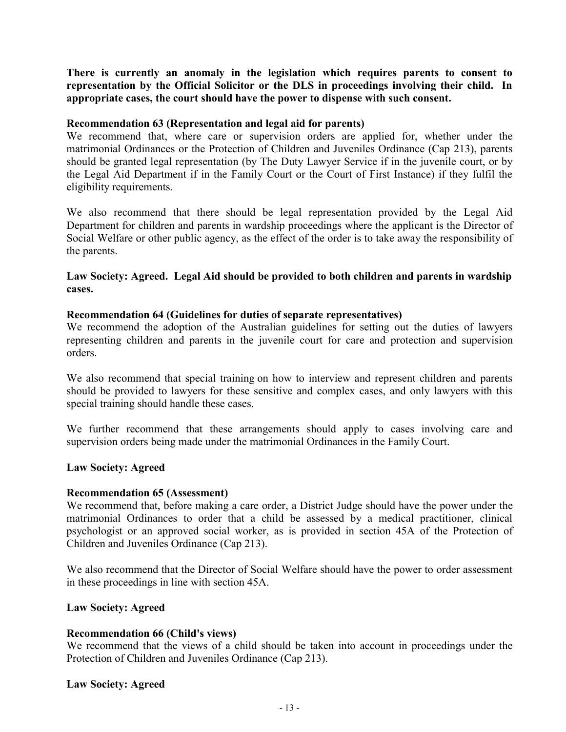**There is currently an anomaly in the legislation which requires parents to consent to representation by the Official Solicitor or the DLS in proceedings involving their child. In appropriate cases, the court should have the power to dispense with such consent.** 

### **Recommendation 63 (Representation and legal aid for parents)**

We recommend that, where care or supervision orders are applied for, whether under the matrimonial Ordinances or the Protection of Children and Juveniles Ordinance (Cap 213), parents should be granted legal representation (by The Duty Lawyer Service if in the juvenile court, or by the Legal Aid Department if in the Family Court or the Court of First Instance) if they fulfil the eligibility requirements.

We also recommend that there should be legal representation provided by the Legal Aid Department for children and parents in wardship proceedings where the applicant is the Director of Social Welfare or other public agency, as the effect of the order is to take away the responsibility of the parents.

# **Law Society: Agreed. Legal Aid should be provided to both children and parents in wardship cases.**

### **Recommendation 64 (Guidelines for duties of separate representatives)**

We recommend the adoption of the Australian guidelines for setting out the duties of lawyers representing children and parents in the juvenile court for care and protection and supervision orders.

We also recommend that special training on how to interview and represent children and parents should be provided to lawyers for these sensitive and complex cases, and only lawyers with this special training should handle these cases.

We further recommend that these arrangements should apply to cases involving care and supervision orders being made under the matrimonial Ordinances in the Family Court.

#### **Law Society: Agreed**

#### **Recommendation 65 (Assessment)**

We recommend that, before making a care order, a District Judge should have the power under the matrimonial Ordinances to order that a child be assessed by a medical practitioner, clinical psychologist or an approved social worker, as is provided in section 45A of the Protection of Children and Juveniles Ordinance (Cap 213).

We also recommend that the Director of Social Welfare should have the power to order assessment in these proceedings in line with section 45A.

#### **Law Society: Agreed**

# **Recommendation 66 (Child's views)**

We recommend that the views of a child should be taken into account in proceedings under the Protection of Children and Juveniles Ordinance (Cap 213).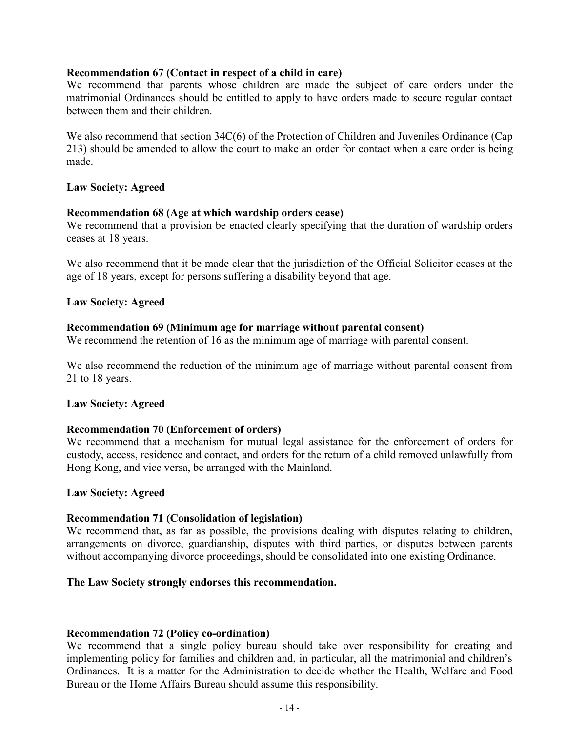### **Recommendation 67 (Contact in respect of a child in care)**

We recommend that parents whose children are made the subject of care orders under the matrimonial Ordinances should be entitled to apply to have orders made to secure regular contact between them and their children.

We also recommend that section 34C(6) of the Protection of Children and Juveniles Ordinance (Cap 213) should be amended to allow the court to make an order for contact when a care order is being made.

### **Law Society: Agreed**

### **Recommendation 68 (Age at which wardship orders cease)**

We recommend that a provision be enacted clearly specifying that the duration of wardship orders ceases at 18 years.

We also recommend that it be made clear that the jurisdiction of the Official Solicitor ceases at the age of 18 years, except for persons suffering a disability beyond that age.

### **Law Society: Agreed**

### **Recommendation 69 (Minimum age for marriage without parental consent)**

We recommend the retention of 16 as the minimum age of marriage with parental consent.

We also recommend the reduction of the minimum age of marriage without parental consent from 21 to 18 years.

#### **Law Society: Agreed**

#### **Recommendation 70 (Enforcement of orders)**

We recommend that a mechanism for mutual legal assistance for the enforcement of orders for custody, access, residence and contact, and orders for the return of a child removed unlawfully from Hong Kong, and vice versa, be arranged with the Mainland.

#### **Law Society: Agreed**

# **Recommendation 71 (Consolidation of legislation)**

We recommend that, as far as possible, the provisions dealing with disputes relating to children, arrangements on divorce, guardianship, disputes with third parties, or disputes between parents without accompanying divorce proceedings, should be consolidated into one existing Ordinance.

### **The Law Society strongly endorses this recommendation.**

#### **Recommendation 72 (Policy co-ordination)**

We recommend that a single policy bureau should take over responsibility for creating and implementing policy for families and children and, in particular, all the matrimonial and children's Ordinances. It is a matter for the Administration to decide whether the Health, Welfare and Food Bureau or the Home Affairs Bureau should assume this responsibility.